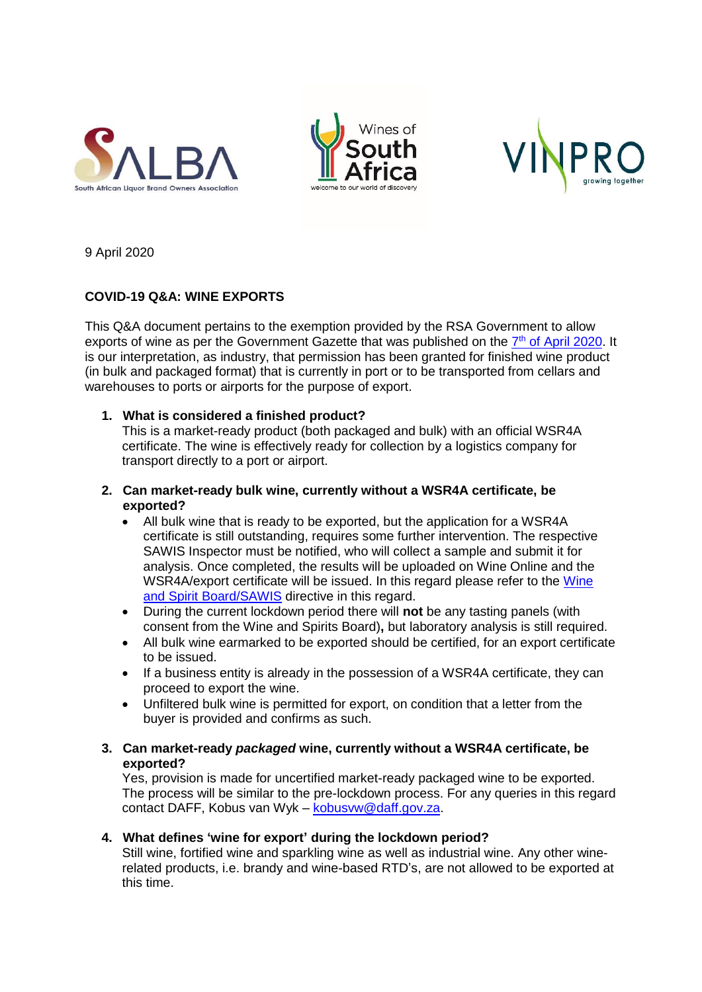





9 April 2020

# **COVID-19 Q&A: WINE EXPORTS**

This Q&A document pertains to the exemption provided by the RSA Government to allow exports of wine as per the Government Gazette that was published on the 7<sup>th</sup> [of April 2020.](https://www.wineland.co.za/wp-content/uploads/2020/04/Disaster-Management-Act-57-2002-Measures-to-prevent-and-combat-the-Spread-of-COVID-19-sea-ports-7-April-2020.pdf) It is our interpretation, as industry, that permission has been granted for finished wine product (in bulk and packaged format) that is currently in port or to be transported from cellars and warehouses to ports or airports for the purpose of export.

# **1. What is considered a finished product?**

This is a market-ready product (both packaged and bulk) with an official WSR4A certificate. The wine is effectively ready for collection by a logistics company for transport directly to a port or airport.

## **2. Can market-ready bulk wine, currently without a WSR4A certificate, be exported?**

- All bulk wine that is ready to be exported, but the application for a WSR4A certificate is still outstanding, requires some further intervention. The respective SAWIS Inspector must be notified, who will collect a sample and submit it for analysis. Once completed, the results will be uploaded on Wine Online and the WSR4A/export certificate will be issued. In this regard please refer to the [Wine](https://www.wineland.co.za/wp-content/uploads/2020/04/WS-and-SAWIS-during-lockdown-exports-2.pdf)  [and Spirit Board/SAWIS](https://www.wineland.co.za/wp-content/uploads/2020/04/WS-and-SAWIS-during-lockdown-exports-2.pdf) directive in this regard.
- During the current lockdown period there will **not** be any tasting panels (with consent from the Wine and Spirits Board)**,** but laboratory analysis is still required.
- All bulk wine earmarked to be exported should be certified, for an export certificate to be issued.
- If a business entity is already in the possession of a WSR4A certificate, they can proceed to export the wine.
- Unfiltered bulk wine is permitted for export, on condition that a letter from the buyer is provided and confirms as such.
- **3. Can market-ready** *packaged* **wine, currently without a WSR4A certificate, be exported?**

Yes, provision is made for uncertified market-ready packaged wine to be exported. The process will be similar to the pre-lockdown process. For any queries in this regard contact DAFF, Kobus van Wyk – [kobusvw@daff.gov.za.](mailto:kobusvw@daff.gov.za)

# **4. What defines 'wine for export' during the lockdown period?**

Still wine, fortified wine and sparkling wine as well as industrial wine. Any other winerelated products, i.e. brandy and wine-based RTD's, are not allowed to be exported at this time.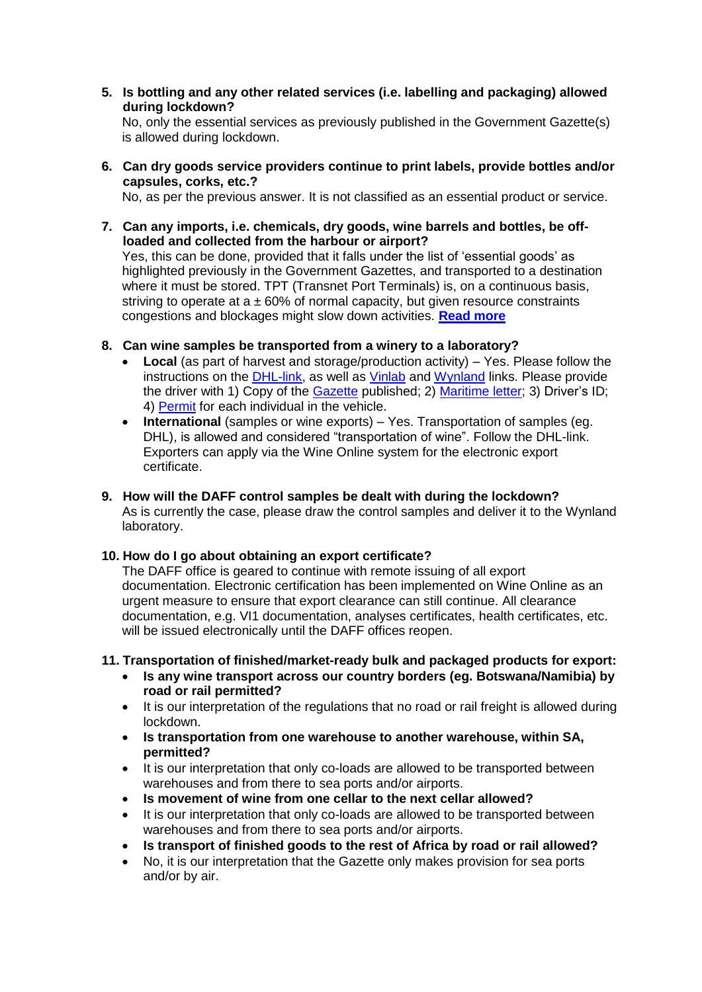**5. Is bottling and any other related services (i.e. labelling and packaging) allowed during lockdown?** 

No, only the essential services as previously published in the Government Gazette(s) is allowed during lockdown.

**6. Can dry goods service providers continue to print labels, provide bottles and/or capsules, corks, etc.?**

No, as per the previous answer. It is not classified as an essential product or service.

- **7. Can any imports, i.e. chemicals, dry goods, wine barrels and bottles, be offloaded and collected from the harbour or airport?**  Yes, this can be done, provided that it falls under the list of 'essential goods' as highlighted previously in the Government Gazettes, and transported to a destination where it must be stored. TPT (Transnet Port Terminals) is, on a continuous basis, striving to operate at  $a \pm 60\%$  of normal capacity, but given resource constraints congestions and blockages might slow down activities. **[Read more](https://www.wineland.co.za/wp-content/uploads/2020/04/Question-7-Context.pdf)**
- **8. Can wine samples be transported from a winery to a laboratory?**
	- **Local** (as part of harvest and storage/production activity) Yes. Please follow the instructions on the [DHL-link,](https://www.wineland.co.za/wp-content/uploads/2020/04/DHL.zip) as well as [Vinlab](https://www.wineland.co.za/vinlab-updated-trading-hours-during-lockdown/) and [Wynland](https://k14581035.wixsite.com/wynland-analytical) links. Please provide the driver with 1) Copy of the [Gazette](https://www.wineland.co.za/wp-content/uploads/2020/04/Disaster-Management-Act-57-2002-Measures-to-prevent-and-combat-the-Spread-of-COVID-19-sea-ports-7-April-2020.pdf) published; 2) [Maritime](https://www.wineland.co.za/wp-content/uploads/2020/04/SAMSA-3.6-South-African-Ports-Open-for-Cargo-Operations.pdf) letter; 3) Driver's ID; 4) [Permit](https://www.wineland.co.za/wp-content/uploads/2020/04/Agri-SA-Agri-WK-Vinpro-lockdown-employment-letter.docx) for each individual in the vehicle.
	- **International** (samples or wine exports) Yes. Transportation of samples (eg. DHL), is allowed and considered "transportation of wine". Follow the DHL-link. Exporters can apply via the Wine Online system for the electronic export certificate.
- **9. How will the DAFF control samples be dealt with during the lockdown?** As is currently the case, please draw the control samples and deliver it to the Wynland laboratory.

#### **10. How do I go about obtaining an export certificate?**

The DAFF office is geared to continue with remote issuing of all export documentation. Electronic certification has been implemented on Wine Online as an urgent measure to ensure that export clearance can still continue. All clearance documentation, e.g. VI1 documentation, analyses certificates, health certificates, etc. will be issued electronically until the DAFF offices reopen.

#### **11. Transportation of finished/market-ready bulk and packaged products for export:**

- **Is any wine transport across our country borders (eg. Botswana/Namibia) by road or rail permitted?**
- It is our interpretation of the regulations that no road or rail freight is allowed during lockdown.
- **Is transportation from one warehouse to another warehouse, within SA, permitted?**
- It is our interpretation that only co-loads are allowed to be transported between warehouses and from there to sea ports and/or airports.
- **Is movement of wine from one cellar to the next cellar allowed?**
- It is our interpretation that only co-loads are allowed to be transported between warehouses and from there to sea ports and/or airports.
- **Is transport of finished goods to the rest of Africa by road or rail allowed?**
- No, it is our interpretation that the Gazette only makes provision for sea ports and/or by air.